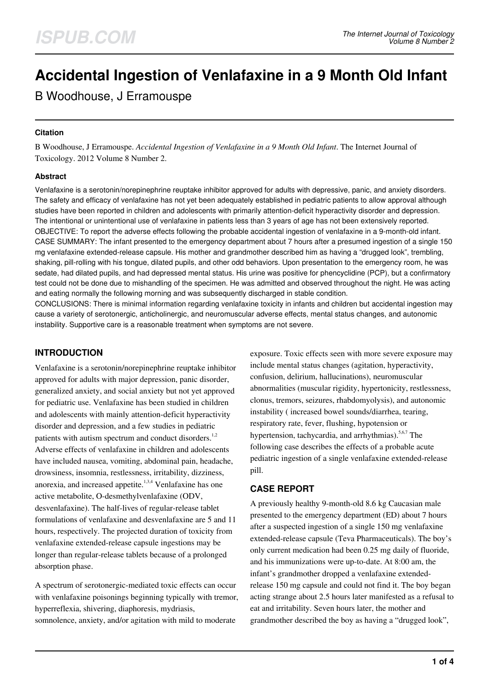# **Accidental Ingestion of Venlafaxine in a 9 Month Old Infant**

B Woodhouse, J Erramouspe

## **Citation**

B Woodhouse, J Erramouspe. *Accidental Ingestion of Venlafaxine in a 9 Month Old Infant*. The Internet Journal of Toxicology. 2012 Volume 8 Number 2.

## **Abstract**

Venlafaxine is a serotonin/norepinephrine reuptake inhibitor approved for adults with depressive, panic, and anxiety disorders. The safety and efficacy of venlafaxine has not yet been adequately established in pediatric patients to allow approval although studies have been reported in children and adolescents with primarily attention-deficit hyperactivity disorder and depression. The intentional or unintentional use of venlafaxine in patients less than 3 years of age has not been extensively reported. OBJECTIVE: To report the adverse effects following the probable accidental ingestion of venlafaxine in a 9-month-old infant. CASE SUMMARY: The infant presented to the emergency department about 7 hours after a presumed ingestion of a single 150 mg venlafaxine extended-release capsule. His mother and grandmother described him as having a "drugged look", trembling, shaking, pill-rolling with his tongue, dilated pupils, and other odd behaviors. Upon presentation to the emergency room, he was sedate, had dilated pupils, and had depressed mental status. His urine was positive for phencyclidine (PCP), but a confirmatory test could not be done due to mishandling of the specimen. He was admitted and observed throughout the night. He was acting and eating normally the following morning and was subsequently discharged in stable condition.

CONCLUSIONS: There is minimal information regarding venlafaxine toxicity in infants and children but accidental ingestion may cause a variety of serotonergic, anticholinergic, and neuromuscular adverse effects, mental status changes, and autonomic instability. Supportive care is a reasonable treatment when symptoms are not severe.

## **INTRODUCTION**

Venlafaxine is a serotonin/norepinephrine reuptake inhibitor approved for adults with major depression, panic disorder, generalized anxiety, and social anxiety but not yet approved for pediatric use. Venlafaxine has been studied in children and adolescents with mainly attention-deficit hyperactivity disorder and depression, and a few studies in pediatric patients with autism spectrum and conduct disorders.<sup>1,2</sup> Adverse effects of venlafaxine in children and adolescents have included nausea, vomiting, abdominal pain, headache, drowsiness, insomnia, restlessness, irritability, dizziness, anorexia, and increased appetite.<sup>1,3,4</sup> Venlafaxine has one active metabolite, O-desmethylvenlafaxine (ODV, desvenlafaxine). The half-lives of regular-release tablet formulations of venlafaxine and desvenlafaxine are 5 and 11 hours, respectively. The projected duration of toxicity from venlafaxine extended-release capsule ingestions may be longer than regular-release tablets because of a prolonged absorption phase.

A spectrum of serotonergic-mediated toxic effects can occur with venlafaxine poisonings beginning typically with tremor, hyperreflexia, shivering, diaphoresis, mydriasis, somnolence, anxiety, and/or agitation with mild to moderate

exposure. Toxic effects seen with more severe exposure may include mental status changes (agitation, hyperactivity, confusion, delirium, hallucinations), neuromuscular abnormalities (muscular rigidity, hypertonicity, restlessness, clonus, tremors, seizures, rhabdomyolysis), and autonomic instability ( increased bowel sounds/diarrhea, tearing, respiratory rate, fever, flushing, hypotension or hypertension, tachycardia, and arrhythmias).<sup>5,6,7</sup> The following case describes the effects of a probable acute pediatric ingestion of a single venlafaxine extended-release pill.

## **CASE REPORT**

A previously healthy 9-month-old 8.6 kg Caucasian male presented to the emergency department (ED) about 7 hours after a suspected ingestion of a single 150 mg venlafaxine extended-release capsule (Teva Pharmaceuticals). The boy's only current medication had been 0.25 mg daily of fluoride, and his immunizations were up-to-date. At 8:00 am, the infant's grandmother dropped a venlafaxine extendedrelease 150 mg capsule and could not find it. The boy began acting strange about 2.5 hours later manifested as a refusal to eat and irritability. Seven hours later, the mother and grandmother described the boy as having a "drugged look",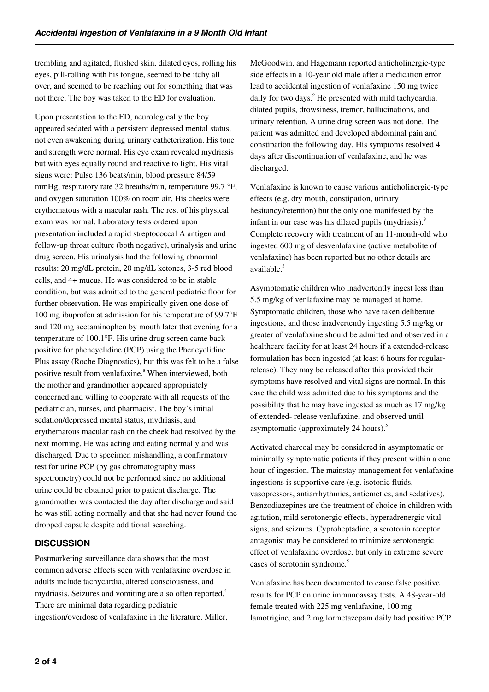trembling and agitated, flushed skin, dilated eyes, rolling his eyes, pill-rolling with his tongue, seemed to be itchy all over, and seemed to be reaching out for something that was not there. The boy was taken to the ED for evaluation.

Upon presentation to the ED, neurologically the boy appeared sedated with a persistent depressed mental status, not even awakening during urinary catheterization. His tone and strength were normal. His eye exam revealed mydriasis but with eyes equally round and reactive to light. His vital signs were: Pulse 136 beats/min, blood pressure 84/59 mmHg, respiratory rate 32 breaths/min, temperature 99.7 °F, and oxygen saturation 100% on room air. His cheeks were erythematous with a macular rash. The rest of his physical exam was normal. Laboratory tests ordered upon presentation included a rapid streptococcal A antigen and follow-up throat culture (both negative), urinalysis and urine drug screen. His urinalysis had the following abnormal results: 20 mg/dL protein, 20 mg/dL ketones, 3-5 red blood cells, and 4+ mucus. He was considered to be in stable condition, but was admitted to the general pediatric floor for further observation. He was empirically given one dose of 100 mg ibuprofen at admission for his temperature of 99.7°F and 120 mg acetaminophen by mouth later that evening for a temperature of 100.1°F. His urine drug screen came back positive for phencyclidine (PCP) using the Phencyclidine Plus assay (Roche Diagnostics), but this was felt to be a false positive result from venlafaxine.<sup>8</sup> When interviewed, both the mother and grandmother appeared appropriately concerned and willing to cooperate with all requests of the pediatrician, nurses, and pharmacist. The boy's initial sedation/depressed mental status, mydriasis, and erythematous macular rash on the cheek had resolved by the next morning. He was acting and eating normally and was discharged. Due to specimen mishandling, a confirmatory test for urine PCP (by gas chromatography mass spectrometry) could not be performed since no additional urine could be obtained prior to patient discharge. The grandmother was contacted the day after discharge and said he was still acting normally and that she had never found the dropped capsule despite additional searching.

## **DISCUSSION**

Postmarketing surveillance data shows that the most common adverse effects seen with venlafaxine overdose in adults include tachycardia, altered consciousness, and mydriasis. Seizures and vomiting are also often reported.<sup>4</sup> There are minimal data regarding pediatric ingestion/overdose of venlafaxine in the literature. Miller,

McGoodwin, and Hagemann reported anticholinergic-type side effects in a 10-year old male after a medication error lead to accidental ingestion of venlafaxine 150 mg twice daily for two days.<sup>9</sup> He presented with mild tachycardia, dilated pupils, drowsiness, tremor, hallucinations, and urinary retention. A urine drug screen was not done. The patient was admitted and developed abdominal pain and constipation the following day. His symptoms resolved 4 days after discontinuation of venlafaxine, and he was discharged.

Venlafaxine is known to cause various anticholinergic-type effects (e.g. dry mouth, constipation, urinary hesitancy/retention) but the only one manifested by the infant in our case was his dilated pupils (mydriasis).<sup>9</sup> Complete recovery with treatment of an 11-month-old who ingested 600 mg of desvenlafaxine (active metabolite of venlafaxine) has been reported but no other details are available.<sup>5</sup>

Asymptomatic children who inadvertently ingest less than 5.5 mg/kg of venlafaxine may be managed at home. Symptomatic children, those who have taken deliberate ingestions, and those inadvertently ingesting 5.5 mg/kg or greater of venlafaxine should be admitted and observed in a healthcare facility for at least 24 hours if a extended-release formulation has been ingested (at least 6 hours for regularrelease). They may be released after this provided their symptoms have resolved and vital signs are normal. In this case the child was admitted due to his symptoms and the possibility that he may have ingested as much as 17 mg/kg of extended- release venlafaxine, and observed until asymptomatic (approximately 24 hours).<sup>5</sup>

Activated charcoal may be considered in asymptomatic or minimally symptomatic patients if they present within a one hour of ingestion. The mainstay management for venlafaxine ingestions is supportive care (e.g. isotonic fluids, vasopressors, antiarrhythmics, antiemetics, and sedatives). Benzodiazepines are the treatment of choice in children with agitation, mild serotonergic effects, hyperadrenergic vital signs, and seizures. Cyproheptadine, a serotonin receptor antagonist may be considered to minimize serotonergic effect of venlafaxine overdose, but only in extreme severe cases of serotonin syndrome.<sup>5</sup>

Venlafaxine has been documented to cause false positive results for PCP on urine immunoassay tests. A 48-year-old female treated with 225 mg venlafaxine, 100 mg lamotrigine, and 2 mg lormetazepam daily had positive PCP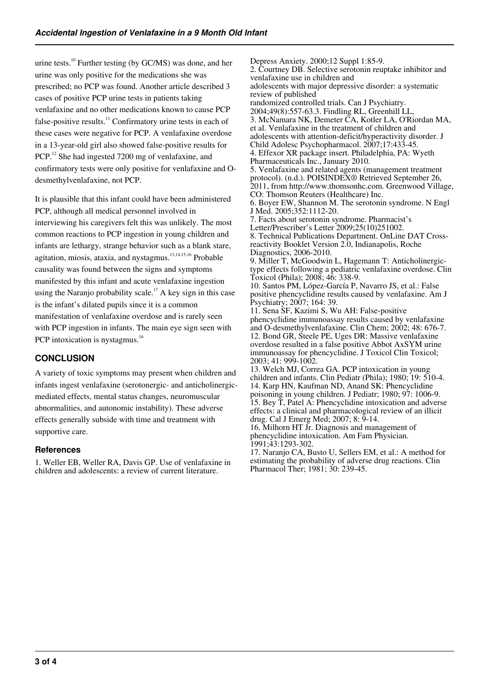urine tests.<sup>10</sup> Further testing (by  $GC/MS$ ) was done, and her urine was only positive for the medications she was prescribed; no PCP was found. Another article described 3 cases of positive PCP urine tests in patients taking venlafaxine and no other medications known to cause PCP false-positive results. $11$  Confirmatory urine tests in each of these cases were negative for PCP. A venlafaxine overdose in a 13-year-old girl also showed false-positive results for PCP.<sup>12</sup> She had ingested 7200 mg of venlafaxine, and confirmatory tests were only positive for venlafaxine and Odesmethylvenlafaxine, not PCP.

It is plausible that this infant could have been administered PCP, although all medical personnel involved in interviewing his caregivers felt this was unlikely. The most common reactions to PCP ingestion in young children and infants are lethargy, strange behavior such as a blank stare, agitation, miosis, ataxia, and nystagmus.<sup>13,14,15,16</sup> Probable causality was found between the signs and symptoms manifested by this infant and acute venlafaxine ingestion using the Naranjo probability scale.<sup>17</sup> A key sign in this case is the infant's dilated pupils since it is a common manifestation of venlafaxine overdose and is rarely seen with PCP ingestion in infants. The main eye sign seen with PCP intoxication is nystagmus.<sup>16</sup>

## **CONCLUSION**

A variety of toxic symptoms may present when children and infants ingest venlafaxine (serotonergic- and anticholinergicmediated effects, mental status changes, neuromuscular abnormalities, and autonomic instability). These adverse effects generally subside with time and treatment with supportive care.

### **References**

1. Weller EB, Weller RA, Davis GP. Use of venlafaxine in children and adolescents: a review of current literature.

Depress Anxiety. 2000;12 Suppl 1:85-9. 2. Courtney DB. Selective serotonin reuptake inhibitor and venlafaxine use in children and adolescents with major depressive disorder: a systematic review of published randomized controlled trials. Can J Psychiatry. 2004;49(8):557-63.3. Findling RL, Greenhill LL, 3. McNamara NK, Demeter CA, Kotler LA, O'Riordan MA, et al. Venlafaxine in the treatment of children and adolescents with attention-deficit/hyperactivity disorder. J Child Adolesc Psychopharmacol. 2007;17:433-45. 4. Effexor XR package insert. Philadelphia, PA: Wyeth Pharmaceuticals Inc., January 2010. 5. Venlafaxine and related agents (management treatment protocol). (n.d.). POISINDEX® Retrieved September 26, 2011, from http://www.thomsonhc.com. Greenwood Village, CO: Thomson Reuters (Healthcare) Inc. 6. Boyer EW, Shannon M. The serotonin syndrome. N Engl J Med. 2005;352:1112-20. 7. Facts about serotonin syndrome. Pharmacist's Letter/Prescriber's Letter 2009;25(10)251002. 8. Technical Publications Department. OnLine DAT Crossreactivity Booklet Version 2.0, Indianapolis, Roche Diagnostics, 2006-2010. 9. Miller T, McGoodwin L, Hagemann T: Anticholinergictype effects following a pediatric venlafaxine overdose. Clin Toxicol (Phila); 2008; 46: 338-9. 10. Santos PM, López-García P, Navarro JS, et al.: False positive phencyclidine results caused by venlafaxine. Am J Psychiatry; 2007; 164: 39. 11. Sena SF, Kazimi S, Wu AH: False-positive phencyclidine immunoassay results caused by venlafaxine and O-desmethylvenlafaxine. Clin Chem; 2002; 48: 676-7. 12. Bond GR, Steele PE, Uges DR: Massive venlafaxine overdose resulted in a false positive Abbot AxSYM urine immunoassay for phencyclidine. J Toxicol Clin Toxicol; 2003; 41: 999-1002. 13. Welch MJ, Correa GA. PCP intoxication in young children and infants. Clin Pediatr (Phila); 1980; 19: 510-4. 14. Karp HN, Kaufman ND, Anand SK: Phencyclidine poisoning in young children. J Pediatr; 1980; 97: 1006-9. 15. Bey T, Patel A: Phencyclidine intoxication and adverse effects: a clinical and pharmacological review of an illicit drug. Cal J Emerg Med; 2007; 8: 9-14. 16. Milhorn HT Jr. Diagnosis and management of phencyclidine intoxication. Am Fam Physician.

1991;43:1293-302. 17. Naranjo CA, Busto U, Sellers EM, et al.: A method for estimating the probability of adverse drug reactions. Clin Pharmacol Ther; 1981; 30: 239-45.